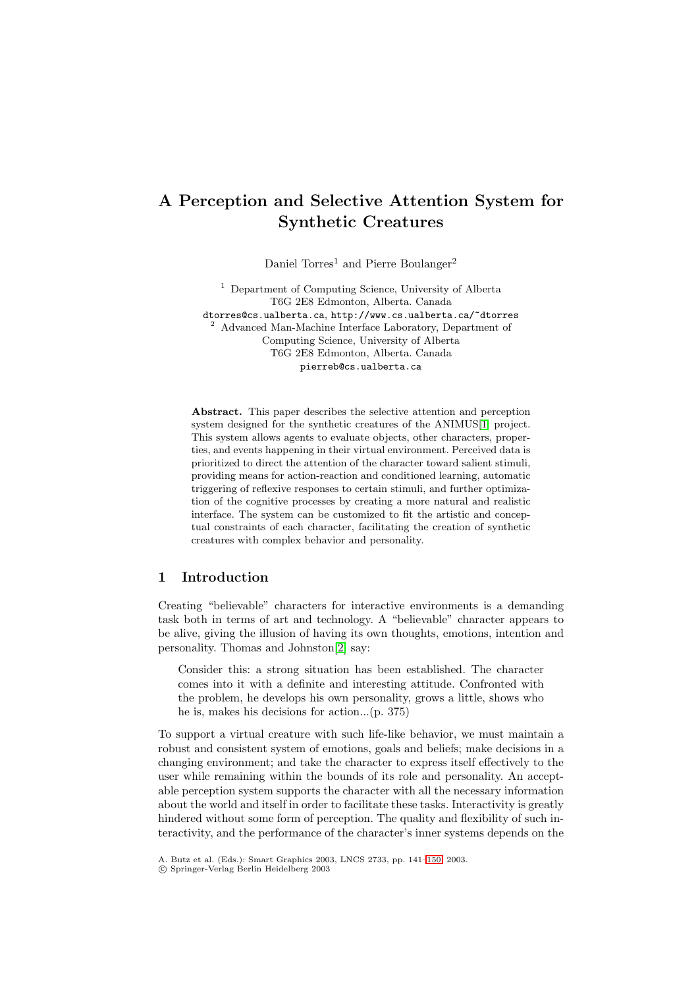# **A Perception and Selective Attention System for Synthetic Creatures**

Daniel Torres<sup>1</sup> and Pierre Boulanger<sup>2</sup>

<sup>1</sup> Department of Computing Science, University of Alberta T6G 2E8 Edmonton, Alberta. Canada dtorres@cs.ualberta.ca, http://www.cs.ualberta.ca/˜dtorres <sup>2</sup> Advanced Man-Machine Interface Laboratory, Department of Computing Science, University of Alberta T6G 2E8 Edmonton, Alberta. Canada pierreb@cs.ualberta.ca

**Abstract.** This paper describes the selective attention and perception system designed for the synthetic creatures of the ANIMUS[\[1\]](#page-8-0) project. This system allows agents to evaluate objects, other characters, properties, and events happening in their virtual environment. Perceived data is prioritized to direct the attention of the character toward salient stimuli, providing means for action-reaction and conditioned learning, automatic triggering of reflexive responses to certain stimuli, and further optimization of the cognitive processes by creating a more natural and realistic interface. The system can be customized to fit the artistic and conceptual constraints of each character, facilitating the creation of synthetic creatures with complex behavior and personality.

# **1 Introduction**

Creating "believable" characters for interactive environments is a demanding task both in terms of art and technology. A "believable" character appears to be alive, giving the illusion of having its own thoughts, emotions, intention and personality. Thomas and Johnston[\[2\]](#page-8-0) say:

Consider this: a strong situation has been established. The character comes into it with a definite and interesting attitude. Confronted with the problem, he develops his own personality, grows a little, shows who he is, makes his decisions for action...(p. 375)

To support a virtual creature with such life-like behavior, we must maintain a robust and consistent system of emotions, goals and beliefs; make decisions in a changing environment; and take the character to express itself effectively to the user while remaining within the bounds of its role and personality. An acceptable perception system supports the character with all the necessary information about the world and itself in order to facilitate these tasks. Interactivity is greatly hindered without some form of perception. The quality and flexibility of such interactivity, and the performance of the character's inner systems depends on the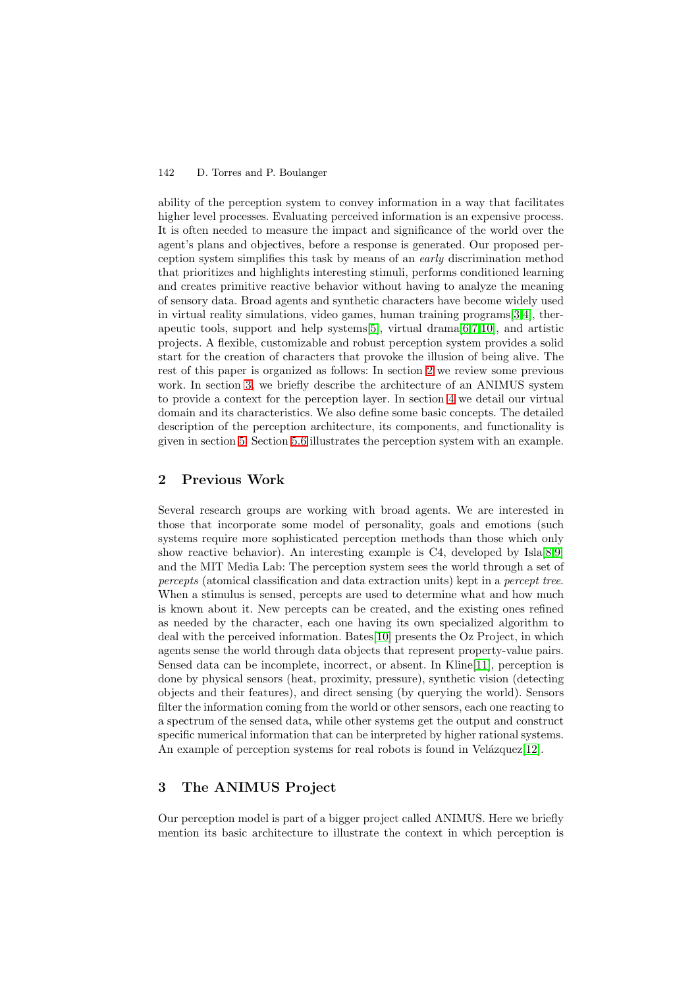<span id="page-1-0"></span>ability of the perception system to convey information in a way that facilitates higher level processes. Evaluating perceived information is an expensive process. It is often needed to measure the impact and significance of the world over the agent's plans and objectives, before a response is generated. Our proposed perception system simplifies this task by means of an *early* discrimination method that prioritizes and highlights interesting stimuli, performs conditioned learning and creates primitive reactive behavior without having to analyze the meaning of sensory data. Broad agents and synthetic characters have become widely used in virtual reality simulations, video games, human training programs[\[3,4\]](#page-9-0), therapeutic tools, support and help systems[\[5\]](#page-9-0), virtual drama[\[6,7,10\]](#page-9-0), and artistic projects. A flexible, customizable and robust perception system provides a solid start for the creation of characters that provoke the illusion of being alive. The rest of this paper is organized as follows: In section 2 we review some previous work. In section 3, we briefly describe the architecture of an ANIMUS system to provide a context for the perception layer. In section [4](#page-2-0) we detail our virtual domain and its characteristics. We also define some basic concepts. The detailed description of the perception architecture, its components, and functionality is given in section [5.](#page-3-0) Section [5.6](#page-6-0) illustrates the perception system with an example.

# **2 Previous Work**

Several research groups are working with broad agents. We are interested in those that incorporate some model of personality, goals and emotions (such systems require more sophisticated perception methods than those which only show reactive behavior). An interesting example is C4, developed by  $\text{Isla}[8,9]$  $\text{Isla}[8,9]$ and the MIT Media Lab: The perception system sees the world through a set of *percepts* (atomical classification and data extraction units) kept in a *percept tree*. When a stimulus is sensed, percepts are used to determine what and how much is known about it. New percepts can be created, and the existing ones refined as needed by the character, each one having its own specialized algorithm to deal with the perceived information. Bates[\[10\]](#page-9-0) presents the Oz Project, in which agents sense the world through data objects that represent property-value pairs. Sensed data can be incomplete, incorrect, or absent. In Kline[\[11\]](#page-9-0), perception is done by physical sensors (heat, proximity, pressure), synthetic vision (detecting objects and their features), and direct sensing (by querying the world). Sensors filter the information coming from the world or other sensors, each one reacting to a spectrum of the sensed data, while other systems get the output and construct specific numerical information that can be interpreted by higher rational systems. An example of perception systems for real robots is found in Velázquez $[12]$ .

# **3 The ANIMUS Project**

Our perception model is part of a bigger project called ANIMUS. Here we briefly mention its basic architecture to illustrate the context in which perception is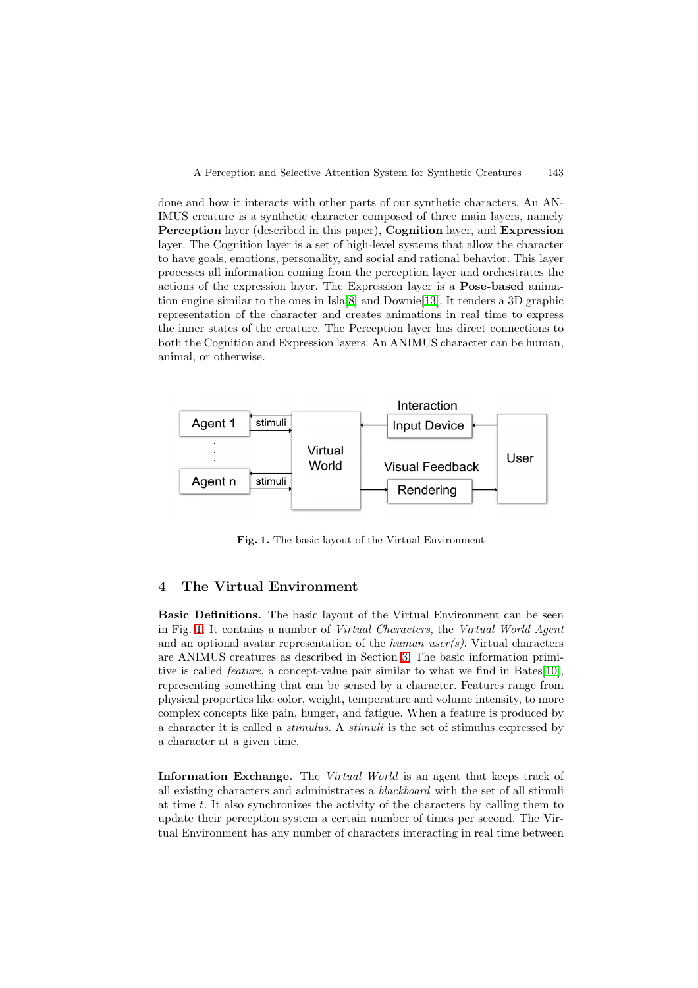<span id="page-2-0"></span>done and how it interacts with other parts of our synthetic characters. An AN-IMUS creature is a synthetic character composed of three main layers, namely **Perception** layer (described in this paper), **Cognition** layer, and **Expression** layer. The Cognition layer is a set of high-level systems that allow the character to have goals, emotions, personality, and social and rational behavior. This layer processes all information coming from the perception layer and orchestrates the actions of the expression layer. The Expression layer is a **Pose-based** animation engine similar to the ones in Isla[\[8\]](#page-9-0) and Downie[\[13\]](#page-9-0). It renders a 3D graphic representation of the character and creates animations in real time to express the inner states of the creature. The Perception layer has direct connections to both the Cognition and Expression layers. An ANIMUS character can be human, animal, or otherwise.



**Fig. 1.** The basic layout of the Virtual Environment

## **4 The Virtual Environment**

**Basic Definitions.** The basic layout of the Virtual Environment can be seen in Fig. 1. It contains a number of *Virtual Characters*, the *Virtual World Agent* and an optional avatar representation of the *human user(s)*. Virtual characters are ANIMUS creatures as described in Section [3.](#page-1-0) The basic information primitive is called *feature*, a concept-value pair similar to what we find in Bates[\[10\]](#page-9-0), representing something that can be sensed by a character. Features range from physical properties like color, weight, temperature and volume intensity, to more complex concepts like pain, hunger, and fatigue. When a feature is produced by a character it is called a *stimulus*. A *stimuli* is the set of stimulus expressed by a character at a given time.

**Information Exchange.** The *Virtual World* is an agent that keeps track of all existing characters and administrates a *blackboard* with the set of all stimuli at time  $t$ . It also synchronizes the activity of the characters by calling them to update their perception system a certain number of times per second. The Virtual Environment has any number of characters interacting in real time between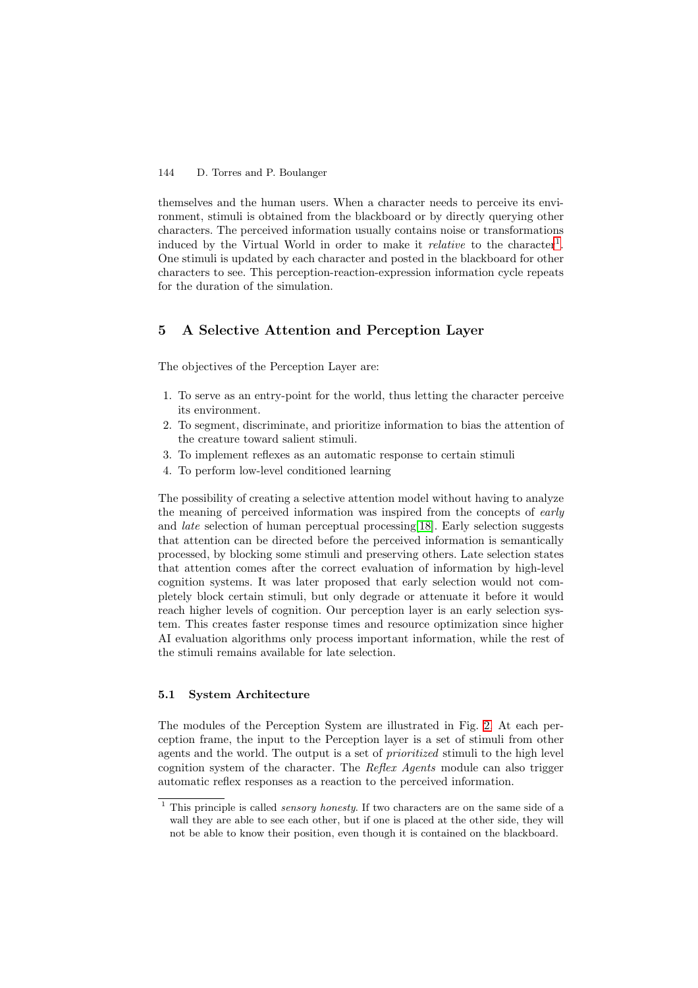<span id="page-3-0"></span>themselves and the human users. When a character needs to perceive its environment, stimuli is obtained from the blackboard or by directly querying other characters. The perceived information usually contains noise or transformations induced by the Virtual World in order to make it *relative* to the character<sup>1</sup>. One stimuli is updated by each character and posted in the blackboard for other characters to see. This perception-reaction-expression information cycle repeats for the duration of the simulation.

# **5 A Selective Attention and Perception Layer**

The objectives of the Perception Layer are:

- 1. To serve as an entry-point for the world, thus letting the character perceive its environment.
- 2. To segment, discriminate, and prioritize information to bias the attention of the creature toward salient stimuli.
- 3. To implement reflexes as an automatic response to certain stimuli
- 4. To perform low-level conditioned learning

The possibility of creating a selective attention model without having to analyze the meaning of perceived information was inspired from the concepts of *early* and *late* selection of human perceptual processing[\[18\]](#page-9-0). Early selection suggests that attention can be directed before the perceived information is semantically processed, by blocking some stimuli and preserving others. Late selection states that attention comes after the correct evaluation of information by high-level cognition systems. It was later proposed that early selection would not completely block certain stimuli, but only degrade or attenuate it before it would reach higher levels of cognition. Our perception layer is an early selection system. This creates faster response times and resource optimization since higher AI evaluation algorithms only process important information, while the rest of the stimuli remains available for late selection.

# **5.1 System Architecture**

The modules of the Perception System are illustrated in Fig. [2.](#page-4-0) At each perception frame, the input to the Perception layer is a set of stimuli from other agents and the world. The output is a set of *prioritized* stimuli to the high level cognition system of the character. The *Reflex Agents* module can also trigger automatic reflex responses as a reaction to the perceived information.

 $1$  This principle is called *sensory honesty*. If two characters are on the same side of a wall they are able to see each other, but if one is placed at the other side, they will not be able to know their position, even though it is contained on the blackboard.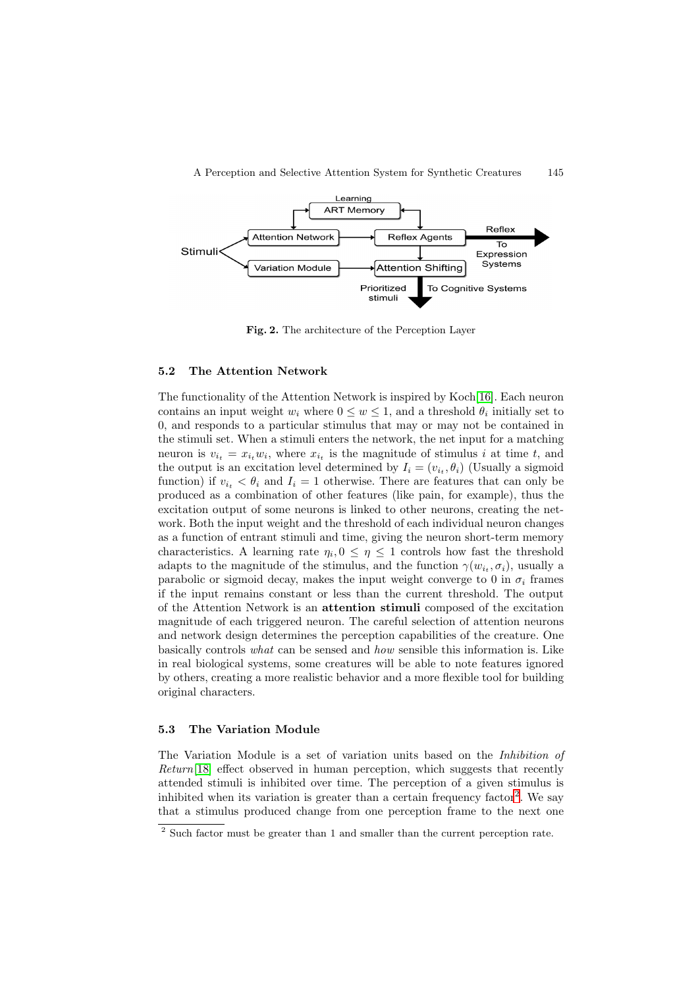<span id="page-4-0"></span>

**Fig. 2.** The architecture of the Perception Layer

#### **5.2 The Attention Network**

The functionality of the Attention Network is inspired by Koch[\[16\]](#page-9-0). Each neuron contains an input weight  $w_i$  where  $0 \leq w \leq 1$ , and a threshold  $\theta_i$  initially set to 0, and responds to a particular stimulus that may or may not be contained in the stimuli set. When a stimuli enters the network, the net input for a matching neuron is  $v_{i_t} = x_{i_t} w_i$ , where  $x_{i_t}$  is the magnitude of stimulus i at time t, and the output is an excitation level determined by  $I_i = (v_{i_t}, \theta_i)$  (Usually a sigmoid function) if  $v_{i_t} < \theta_i$  and  $I_i = 1$  otherwise. There are features that can only be produced as a combination of other features (like pain, for example), thus the excitation output of some neurons is linked to other neurons, creating the network. Both the input weight and the threshold of each individual neuron changes as a function of entrant stimuli and time, giving the neuron short-term memory characteristics. A learning rate  $\eta_i, 0 \leq \eta \leq 1$  controls how fast the threshold adapts to the magnitude of the stimulus, and the function  $\gamma(w_{i_t}, \sigma_i)$ , usually a parabolic or sigmoid decay, makes the input weight converge to 0 in  $\sigma_i$  frames if the input remains constant or less than the current threshold. The output of the Attention Network is an **attention stimuli** composed of the excitation magnitude of each triggered neuron. The careful selection of attention neurons and network design determines the perception capabilities of the creature. One basically controls *what* can be sensed and *how* sensible this information is. Like in real biological systems, some creatures will be able to note features ignored by others, creating a more realistic behavior and a more flexible tool for building original characters.

#### **5.3 The Variation Module**

The Variation Module is a set of variation units based on the *Inhibition of Return*[\[18\]](#page-9-0) effect observed in human perception, which suggests that recently attended stimuli is inhibited over time. The perception of a given stimulus is inhibited when its variation is greater than a certain frequency factor<sup>2</sup>. We say that a stimulus produced change from one perception frame to the next one

<sup>2</sup> Such factor must be greater than 1 and smaller than the current perception rate.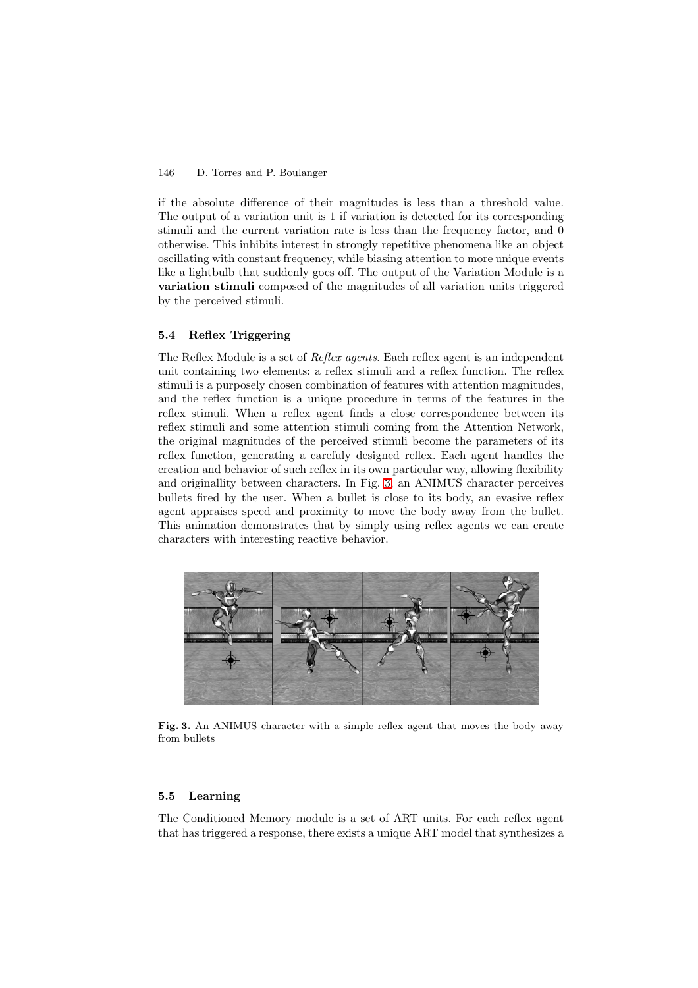if the absolute difference of their magnitudes is less than a threshold value. The output of a variation unit is 1 if variation is detected for its corresponding stimuli and the current variation rate is less than the frequency factor, and 0 otherwise. This inhibits interest in strongly repetitive phenomena like an object oscillating with constant frequency, while biasing attention to more unique events like a lightbulb that suddenly goes off. The output of the Variation Module is a **variation stimuli** composed of the magnitudes of all variation units triggered by the perceived stimuli.

## **5.4 Reflex Triggering**

The Reflex Module is a set of *Reflex agents*. Each reflex agent is an independent unit containing two elements: a reflex stimuli and a reflex function. The reflex stimuli is a purposely chosen combination of features with attention magnitudes, and the reflex function is a unique procedure in terms of the features in the reflex stimuli. When a reflex agent finds a close correspondence between its reflex stimuli and some attention stimuli coming from the Attention Network, the original magnitudes of the perceived stimuli become the parameters of its reflex function, generating a carefuly designed reflex. Each agent handles the creation and behavior of such reflex in its own particular way, allowing flexibility and originallity between characters. In Fig. 3, an ANIMUS character perceives bullets fired by the user. When a bullet is close to its body, an evasive reflex agent appraises speed and proximity to move the body away from the bullet. This animation demonstrates that by simply using reflex agents we can create characters with interesting reactive behavior.



**Fig. 3.** An ANIMUS character with a simple reflex agent that moves the body away from bullets

# **5.5 Learning**

The Conditioned Memory module is a set of ART units. For each reflex agent that has triggered a response, there exists a unique ART model that synthesizes a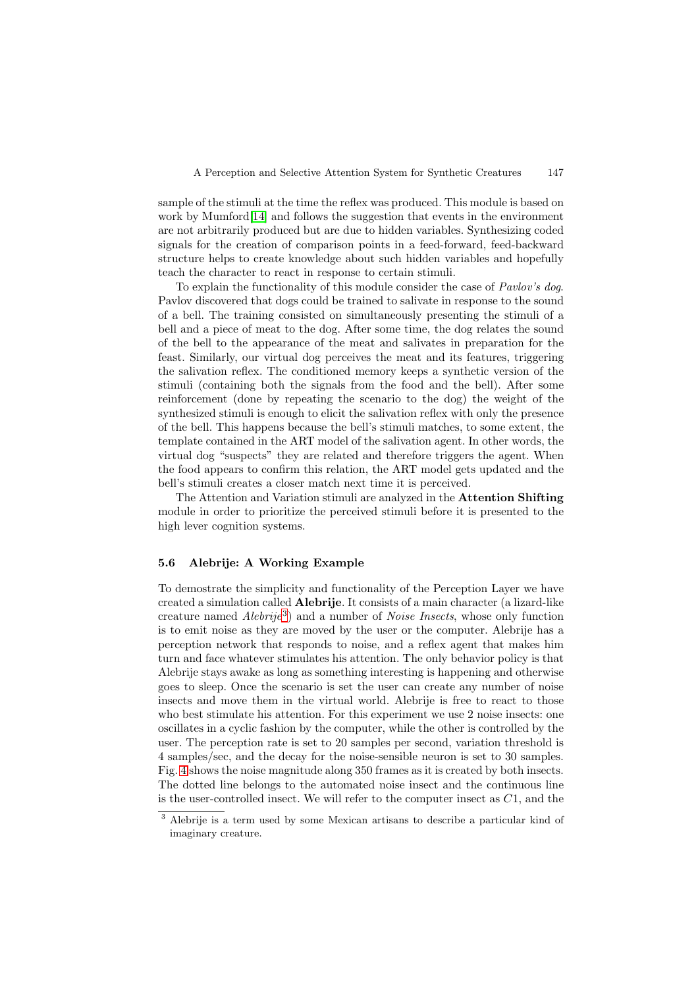<span id="page-6-0"></span>sample of the stimuli at the time the reflex was produced. This module is based on work by Mumford[\[14\]](#page-9-0) and follows the suggestion that events in the environment are not arbitrarily produced but are due to hidden variables. Synthesizing coded signals for the creation of comparison points in a feed-forward, feed-backward structure helps to create knowledge about such hidden variables and hopefully teach the character to react in response to certain stimuli.

To explain the functionality of this module consider the case of *Pavlov's dog*. Pavlov discovered that dogs could be trained to salivate in response to the sound of a bell. The training consisted on simultaneously presenting the stimuli of a bell and a piece of meat to the dog. After some time, the dog relates the sound of the bell to the appearance of the meat and salivates in preparation for the feast. Similarly, our virtual dog perceives the meat and its features, triggering the salivation reflex. The conditioned memory keeps a synthetic version of the stimuli (containing both the signals from the food and the bell). After some reinforcement (done by repeating the scenario to the dog) the weight of the synthesized stimuli is enough to elicit the salivation reflex with only the presence of the bell. This happens because the bell's stimuli matches, to some extent, the template contained in the ART model of the salivation agent. In other words, the virtual dog "suspects" they are related and therefore triggers the agent. When the food appears to confirm this relation, the ART model gets updated and the bell's stimuli creates a closer match next time it is perceived.

The Attention and Variation stimuli are analyzed in the **Attention Shifting** module in order to prioritize the perceived stimuli before it is presented to the high lever cognition systems.

#### **5.6 Alebrije: A Working Example**

To demostrate the simplicity and functionality of the Perception Layer we have created a simulation called **Alebrije**. It consists of a main character (a lizard-like creature named *Alebrije*<sup>3</sup>) and a number of *Noise Insects*, whose only function is to emit noise as they are moved by the user or the computer. Alebrije has a perception network that responds to noise, and a reflex agent that makes him turn and face whatever stimulates his attention. The only behavior policy is that Alebrije stays awake as long as something interesting is happening and otherwise goes to sleep. Once the scenario is set the user can create any number of noise insects and move them in the virtual world. Alebrije is free to react to those who best stimulate his attention. For this experiment we use 2 noise insects: one oscillates in a cyclic fashion by the computer, while the other is controlled by the user. The perception rate is set to 20 samples per second, variation threshold is 4 samples/sec, and the decay for the noise-sensible neuron is set to 30 samples. Fig. [4](#page-7-0) shows the noise magnitude along 350 frames as it is created by both insects. The dotted line belongs to the automated noise insect and the continuous line is the user-controlled insect. We will refer to the computer insect as  $C_1$ , and the

<sup>3</sup> Alebrije is a term used by some Mexican artisans to describe a particular kind of imaginary creature.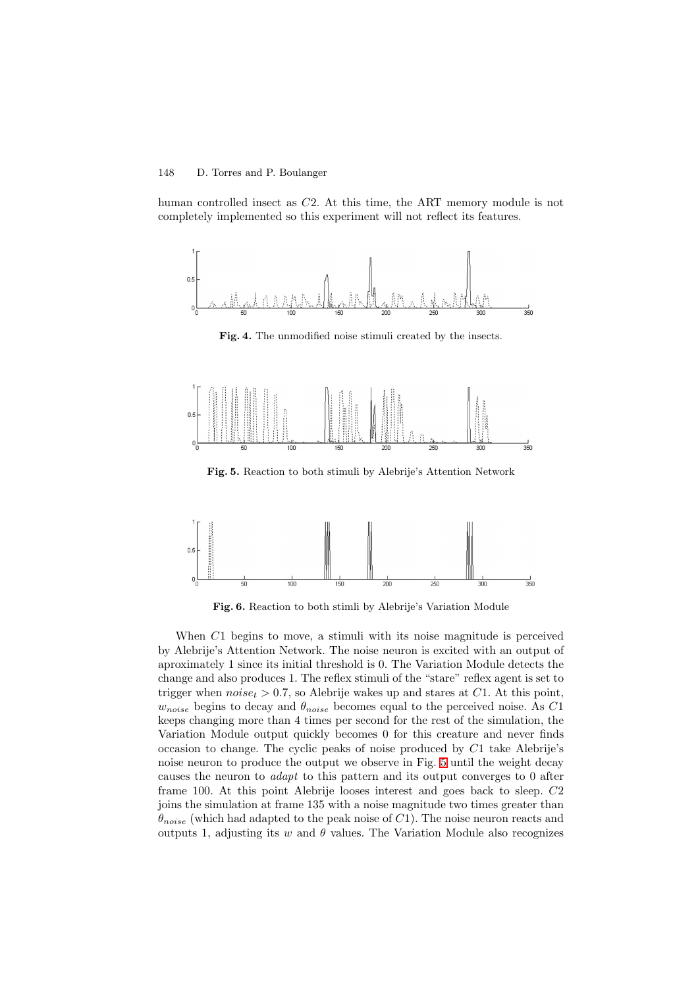<span id="page-7-0"></span>human controlled insect as C2. At this time, the ART memory module is not completely implemented so this experiment will not reflect its features.



**Fig. 4.** The unmodified noise stimuli created by the insects.



**Fig. 5.** Reaction to both stimuli by Alebrije's Attention Network



**Fig. 6.** Reaction to both stimli by Alebrije's Variation Module

When C1 begins to move, a stimuli with its noise magnitude is perceived by Alebrije's Attention Network. The noise neuron is excited with an output of aproximately 1 since its initial threshold is 0. The Variation Module detects the change and also produces 1. The reflex stimuli of the "stare" reflex agent is set to trigger when  $noise_t > 0.7$ , so Alebrije wakes up and stares at C1. At this point,  $w_{noise}$  begins to decay and  $\theta_{noise}$  becomes equal to the perceived noise. As C1 keeps changing more than 4 times per second for the rest of the simulation, the Variation Module output quickly becomes 0 for this creature and never finds occasion to change. The cyclic peaks of noise produced by C1 take Alebrije's noise neuron to produce the output we observe in Fig. 5 until the weight decay causes the neuron to *adapt* to this pattern and its output converges to 0 after frame 100. At this point Alebrije looses interest and goes back to sleep. C2 joins the simulation at frame 135 with a noise magnitude two times greater than  $\theta_{noise}$  (which had adapted to the peak noise of C1). The noise neuron reacts and outputs 1, adjusting its w and  $\theta$  values. The Variation Module also recognizes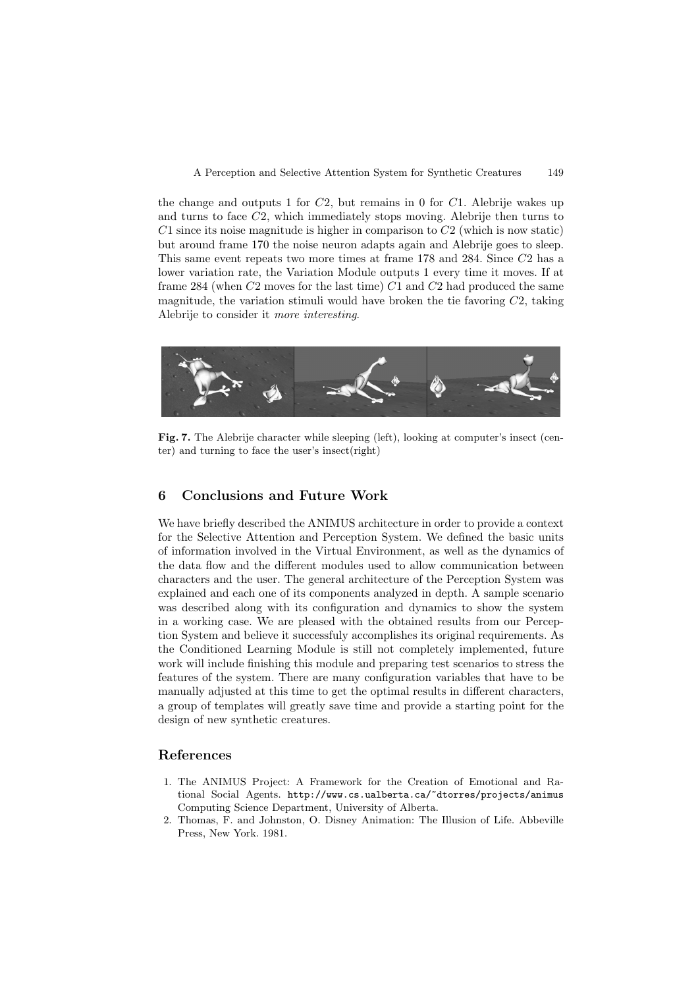<span id="page-8-0"></span>the change and outputs 1 for C2, but remains in 0 for C1. Alebrije wakes up and turns to face C2, which immediately stops moving. Alebrije then turns to  $C1$  since its noise magnitude is higher in comparison to  $C2$  (which is now static) but around frame 170 the noise neuron adapts again and Alebrije goes to sleep. This same event repeats two more times at frame 178 and 284. Since C2 has a lower variation rate, the Variation Module outputs 1 every time it moves. If at frame 284 (when  $C2$  moves for the last time)  $C1$  and  $C2$  had produced the same magnitude, the variation stimuli would have broken the tie favoring  $C<sub>2</sub>$ , taking Alebrije to consider it *more interesting*.



**Fig. 7.** The Alebrije character while sleeping (left), looking at computer's insect (center) and turning to face the user's insect(right)

# **6 Conclusions and Future Work**

We have briefly described the ANIMUS architecture in order to provide a context for the Selective Attention and Perception System. We defined the basic units of information involved in the Virtual Environment, as well as the dynamics of the data flow and the different modules used to allow communication between characters and the user. The general architecture of the Perception System was explained and each one of its components analyzed in depth. A sample scenario was described along with its configuration and dynamics to show the system in a working case. We are pleased with the obtained results from our Perception System and believe it successfuly accomplishes its original requirements. As the Conditioned Learning Module is still not completely implemented, future work will include finishing this module and preparing test scenarios to stress the features of the system. There are many configuration variables that have to be manually adjusted at this time to get the optimal results in different characters, a group of templates will greatly save time and provide a starting point for the design of new synthetic creatures.

### **References**

- 1. The ANIMUS Project: A Framework for the Creation of Emotional and Rational Social Agents. http://www.cs.ualberta.ca/˜dtorres/projects/animus Computing Science Department, University of Alberta.
- 2. Thomas, F. and Johnston, O. Disney Animation: The Illusion of Life. Abbeville Press, New York. 1981.